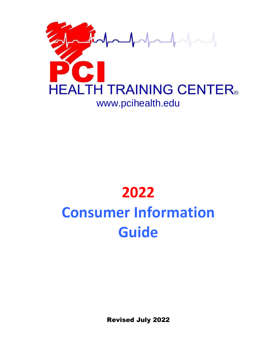

# **2022 Consumer Information Guide**

Revised July 2022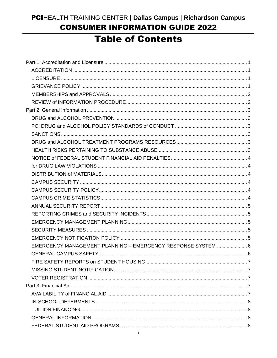# PCIHEALTH TRAINING CENTER | Dallas Campus | Richardson Campus **CONSUMER INFORMATION GUIDE 2022**

# **Table of Contents**

| EMERGENCY MANAGEMENT PLANNING - EMERGENCY RESPONSE SYSTEM  6 |  |
|--------------------------------------------------------------|--|
|                                                              |  |
|                                                              |  |
|                                                              |  |
|                                                              |  |
|                                                              |  |
|                                                              |  |
|                                                              |  |
|                                                              |  |
|                                                              |  |
|                                                              |  |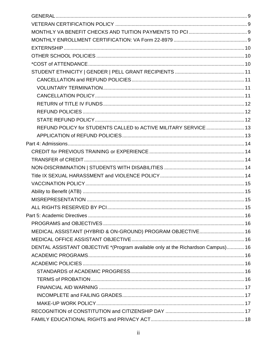| REFUND POLICY for STUDENTS CALLED to ACTIVE MILITARY SERVICE  13                 |  |
|----------------------------------------------------------------------------------|--|
|                                                                                  |  |
|                                                                                  |  |
|                                                                                  |  |
|                                                                                  |  |
|                                                                                  |  |
|                                                                                  |  |
|                                                                                  |  |
|                                                                                  |  |
|                                                                                  |  |
|                                                                                  |  |
|                                                                                  |  |
|                                                                                  |  |
| MEDICAL ASSISTANT (HYBRID & ON-GROUND) PROGRAM OBJECTIVE 16                      |  |
|                                                                                  |  |
| DENTAL ASSISTANT OBJECTIVE *(Program available only at the Richardson Campus) 16 |  |
|                                                                                  |  |
|                                                                                  |  |
|                                                                                  |  |
|                                                                                  |  |
|                                                                                  |  |
|                                                                                  |  |
|                                                                                  |  |
|                                                                                  |  |
|                                                                                  |  |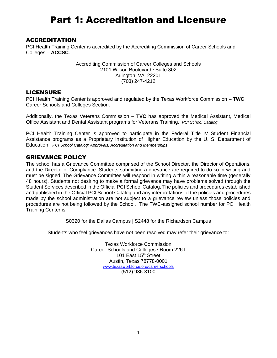# Part 1: Accreditation and Licensure

#### <span id="page-4-1"></span><span id="page-4-0"></span>**ACCREDITATION**

PCI Health Training Center is accredited by the Accrediting Commission of Career Schools and Colleges – **ACCSC**.

> Accrediting Commission of Career Colleges and Schools 2101 Wilson Boulevard ∙ Suite 302 Arlington, VA 22201 (703) 247-4212

#### <span id="page-4-2"></span>LICENSURE

PCI Health Training Center is approved and regulated by the Texas Workforce Commission – **TWC** Career Schools and Colleges Section.

Additionally, the Texas Veterans Commission – **TVC** has approved the Medical Assistant, Medical Office Assistant and Dental Assistant programs for Veterans Training. *PCI School Catalog* 

PCI Health Training Center is approved to participate in the Federal Title IV Student Financial Assistance programs as a Proprietary Institution of Higher Education by the U. S. Department of Education. *PCI School Catalog: Approvals, Accreditation and Memberships*

# <span id="page-4-3"></span>GRIEVANCE POLICY

The school has a Grievance Committee comprised of the School Director, the Director of Operations, and the Director of Compliance. Students submitting a grievance are required to do so in writing and must be signed. The Grievance Committee will respond in writing within a reasonable time (generally 48 hours). Students not desiring to make a formal grievance may have problems solved through the Student Services described in the Official PCI School Catalog. The policies and procedures established and published in the Official PCI School Catalog and any interpretations of the policies and procedures made by the school administration are not subject to a grievance review unless those policies and procedures are not being followed by the School. The TWC-assigned school number for PCI Health Training Center is:

S0320 for the Dallas Campus | S2448 for the Richardson Campus

Students who feel grievances have not been resolved may refer their grievance to:

Texas Workforce Commission Career Schools and Colleges ∙ Room 226T 101 East 15<sup>th</sup> Street Austin, Texas 78778-0001 [www.texasworkforce.org/careerschools](http://www.texasworkforce.org/careerschools) (512) 936-3100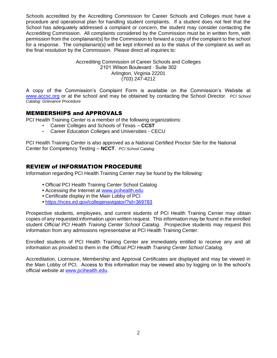Schools accredited by the Accrediting Commission for Career Schools and Colleges must have a procedure and operational plan for handling student complaints. If a student does not feel that the School has adequately addressed a complaint or concern, the student may consider contacting the Accrediting Commission. All complaints considered by the Commission must be in written form, with permission from the complainant(s) for the Commission to forward a copy of the complaint to the school for a response. The complainant(s) will be kept informed as to the status of the complaint as well as the final resolution by the Commission. Please direct all inquiries to:

> Accrediting Commission of Career Schools and Colleges 2101 Wilson Boulevard ∙ Suite 302 Arlington, Virginia 22201 (703) 247-4212

A copy of the Commission's Complaint Form is available on the Commission's Website at [www.accsc.org](http://www.accsc.org/) or at the school and may be obtained by contacting the School Director. *PCI School Catalog: Grievance Procedure*

#### <span id="page-5-0"></span>MEMBERSHIPS and APPROVALS

PCI Health Training Center is a member of the following organizations:

- Career Colleges and Schools of Texas **CCST**
- Career Education Colleges and Universities CECU

PCI Health Training Center is also approved as a National Certified Proctor Site for the National Center for Competency Testing – **NCCT**. *PCI School Catalog*

#### <span id="page-5-1"></span>REVIEW of INFORMATION PROCEDURE

Information regarding PCI Health Training Center may be found by the following:

- Official PCI Health Training Center School Catalog
- Accessing the Internet at [www.pcihealth.edu](http://www.pcihealth.edu/)
- Certificate display in the Main Lobby of PCI
- <https://nces.ed.gov/collegenavigator/?id=369783>

Prospective students, employees, and current students of PCI Health Training Center may obtain copies of any requested information upon written request. This information may be found in the enrolled student *Official PCI Health Training Center School Catalog*. Prospective students may request this information from any admissions representative at PCI Health Training Center.

Enrolled students of PCI Health Training Center are immediately entitled to receive any and all information as provided to them in the *Official PCI Health Training Center School Catalog.*

Accreditation, Licensure, Membership and Approval Certificates are displayed and may be viewed in the Main Lobby of PCI. Access to this information may be viewed also by logging on to the school's official website at [www.pcihealth.edu.](http://www.pcihealth.edu/)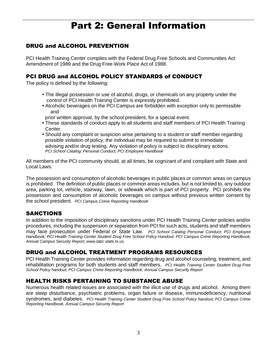# Part 2: General Information

# <span id="page-6-1"></span><span id="page-6-0"></span>DRUG and ALCOHOL PREVENTION

PCI Health Training Center complies with the Federal Drug Free Schools and Communities Act Amendment of 1989 and the Drug Free Work Place Act of 1988.

#### <span id="page-6-2"></span>PCI DRUG and ALCOHOL POLICY STANDARDS of CONDUCT

The policy is defined by the following:

- The illegal possession or use of alcohol, drugs, or chemicals on any property under the control of PCI Health Training Center is expressly prohibited.
- Alcoholic beverages on the PCI Campus are forbidden with exception only to permissible and
- prior written approval, by the school president, for a special event.
- These standards of conduct apply to all students and staff members of PCI Health Training Center.
- Should any complaint or suspicion arise pertaining to a student or staff member regarding possible violation of policy, the individual may be required to submit to immediate advising and/or drug testing. Any violation of policy is subject to disciplinary actions.  *PCI School Catalog: Personal Conduct; PCI Employee Handbook*

All members of the PCI community should, at all times, be cognizant of and compliant with State and Local Laws.

The possession and consumption of alcoholic beverages in public places or common areas on campus is prohibited. The definition of public places or common areas includes, but is not limited to, any outdoor area, parking lot, vehicle, stairway, lawn, or sidewalk which is part of PCI property. PCI prohibits the possession and consumption of alcoholic beverages on campus without previous written consent by the school president. *PCI Campus Crime Reporting Handbook*

# <span id="page-6-3"></span>SANCTIONS

In addition to the imposition of disciplinary sanctions under PCI Health Training Center policies and/or procedures, including the suspension or separation from PCI for such acts, students and staff members may face prosecution under Federal or State Law. *PCI School Catalog Personal Conduct; PCI Employee Handbook; PCI Health Training Center Student Drug Free School Policy Handout; PCI Campus Crime Reporting Handbook, Annual Campus Security Report; www.tabc.state.tx.us.*

#### <span id="page-6-4"></span>DRUG and ALCOHOL TREATMENT PROGRAMS RESOURCES

PCI Health Training Center provides information regarding drug and alcohol counseling, treatment, and rehabilitation programs for both students and staff members. *PCI Health Training Center Student Drug Free School Policy handout; PCI Campus Crime Reporting Handbook, Annual Campus Security Report*

#### <span id="page-6-5"></span>HEALTH RISKS PERTAINING TO SUBSTANCE ABUSE

Numerous health related issues are associated with the illicit use of drugs and alcohol. Among them are sleep disturbance, psychiatric problems, organ failure or disease, immunodeficiency, nutritional syndromes, and diabetes. *PCI Health Training Center Student Drug Free School Policy handout; PCI Campus Crime Reporting Handbook, Annual Campus Security Report*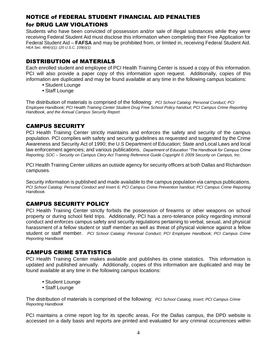# <span id="page-7-0"></span>NOTICE of FEDERAL STUDENT FINANCIAL AID PENALTIES

# <span id="page-7-1"></span>for DRUG LAW VIOLATIONS

Students who have been convicted of possession and/or sale of illegal substances while they were receiving Federal Student Aid must disclose this information when completing their Free Application for Federal Student Aid – **FAFSA** and may be prohibited from, or limited in, receiving Federal Student Aid. *HEA Sec. 484(r)(1); (20 U.S.C. 109(r)(1)*

# <span id="page-7-2"></span>DISTRIBUTION of MATERIALS

Each enrolled student and employee of PCI Health Training Center is issued a copy of this information. PCI will also provide a paper copy of this information upon request. Additionally, copies of this information are duplicated and may be found available at any time in the following campus locations:

- Student Lounge
- Staff Lounge

The distribution of materials is comprised of the following: *PCI School Catalog: Personal Conduct; PCI Employee Handbook; PCI Health Training Center Student Drug Free School Policy handout; PCI Campus Crime Reporting Handbook, and the Annual Campus Security Report.*

# <span id="page-7-3"></span>CAMPUS SECURITY

PCI Health Training Center strictly maintains and enforces the safety and security of the campus population. PCI complies with safety and security guidelines as requested and suggested by the Crime Awareness and Security Act of 1990; the U.S Department of Education; State and Local Laws and local law enforcement agencies; and various publications. *Department of Education "The Handbook for Campus Crime Reporting; SOC – Security on Campus Clery Act Training Reference Guide Copyright © 2009 Security on Campus, Inc.*

PCI Health Training Center utilizes an outside agency for security officers at both Dallas and Richardson campuses.

Security information is published and made available to the campus population via campus publications. *PCI School Catalog: Personal Conduct and Insert 6; PCI Campus Crime Prevention handout; PCI Campus Crime Reporting Handbook.*

# <span id="page-7-4"></span>CAMPUS SECURITY POLICY

PCI Health Training Center strictly forbids the possession of firearms or other weapons on school property or during school field trips. Additionally, PCI has a zero-tolerance policy regarding immoral conduct and enforces campus safety and security regulations pertaining to verbal, sexual, and physical harassment of a fellow student or staff member as well as threat of physical violence against a fellow student or staff member. *PCI School Catalog: Personal Conduct; PCI Employee Handbook; PCI Campus Crime Reporting Handbook*

# <span id="page-7-5"></span>CAMPUS CRIME STATISTICS

PCI Health Training Center makes available and publishes its crime statistics. This information is updated and published annually. Additionally, copies of this information are duplicated and may be found available at any time in the following campus locations:

- Student Lounge
- Staff Lounge

The distribution of materials is comprised of the following: *PCI School Catalog, Insert; PCI Campus Crime Reporting Handbook*

PCI maintains a crime report log for its specific areas. For the Dallas campus, the DPD website is accessed on a daily basis and reports are printed and evaluated for any criminal occurrences within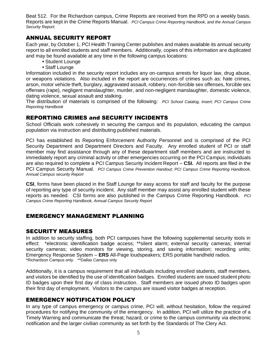Beat 512. For the Richardson campus, Crime Reports are received from the RPD on a weekly basis. Reports are kept in the Crime Reports Manual. *PCI Campus Crime Reporting Handbook, and the Annual Campus Security Report;*

#### <span id="page-8-0"></span>ANNUAL SECURITY REPORT

Each year, by October 1, PCI Health Training Center publishes and makes available its annual security report to all enrolled students and staff members. Additionally, copies of this information are duplicated and may be found available at any time in the following campus locations:

- Student Lounge
- Staff Lounge

Information included in the security report includes any on-campus arrests for liquor law, drug abuse, or weapons violations. Also included in the report are occurrences of crimes such as: hate crimes, arson, motor vehicle theft, burglary, aggravated assault, robbery, non-forcible sex offenses, forcible sex offenses (rape), negligent manslaughter, murder, and non-negligent manslaughter, domestic violence, dating violence, sexual assault and stalking.

The distribution of materials is comprised of the following: *PCI School Catalog, Insert; PCI Campus Crime Reporting Handbook*

#### <span id="page-8-1"></span>REPORTING CRIMES and SECURITY INCIDENTS

School Officials work cohesively in securing the campus and its population, educating the campus population via instruction and distributing published materials.

PCI has established its Reporting Enforcement Authority Personnel and is comprised of the PCI Security Department and Department Directors and Faculty. Any enrolled student of PCI or staff member may find assistance through any of these department staff members and are instructed to immediately report any criminal activity or other emergencies occurring on the PCI Campus; individuals are also required to complete a PCI Campus Security Incident Report – **CSI.** All reports are filed in the PCI Campus Security Manual. *PCI Campus Crime Prevention Handout; PCI Campus Crime Reporting Handbook, Annual Campus security Report*

**CSI**, forms have been placed in the Staff Lounge for easy access for staff and faculty for the purpose of reporting any type of security incident. Any staff member may assist any enrolled student with these reports as needed. CSI forms are also published in the Campus Crime Reporting Handbook. *PCI Campus Crime Reporting Handbook, Annual Campus Security Report*

# <span id="page-8-2"></span>EMERGENCY MANAGEMENT PLANNING

#### <span id="page-8-3"></span>SECURITY MEASURES

In addition to security staffing, both PCI campuses have the following supplemental security tools in effect: \*electronic identification badge access; \*\*silent alarm; external security cameras; internal security cameras; video monitors for viewing, storing, and saving information; recording units; Emergency Response System – **ERS** All-Page loudspeakers; ERS portable handheld radios. \*Richardson Campus only. \*\*Dallas Campus only

Additionally, it is a campus requirement that all individuals including enrolled students, staff members, and visitors be identified by the use of identification badges. Enrolled students are issued student photo ID badges upon their first day of class instruction. Staff members are issued photo ID badges upon their first day of employment. Visitors to the campus are issued visitor badges at reception.

#### <span id="page-8-4"></span>EMERGENCY NOTIFICATION POLICY

In any type of campus emergency or campus crime, PCI will, without hesitation, follow the required procedures for notifying the community of the emergency. In addition, PCI will utilize the practice of a Timely Warning and communicate the threat, hazard, or crime to the campus community via electronic notification and the larger civilian community as set forth by the Standards of The Clery Act.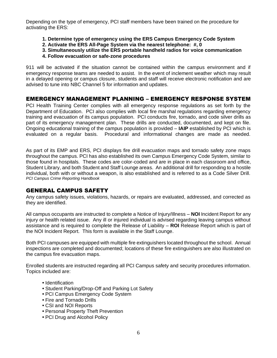Depending on the type of emergency, PCI staff members have been trained on the procedure for activating the ERS:

- **1. Determine type of emergency using the ERS Campus Emergency Code System**
- **2. Activate the ERS All-Page System via the nearest telephone: #, 0**
- **3. Simultaneously utilize the ERS portable handheld radios for voice communication**
- **4. Follow evacuation or safe-zone procedures**

911 will be activated if the situation cannot be contained within the campus environment and if emergency response teams are needed to assist. In the event of inclement weather which may result in a delayed opening or campus closure, students and staff will receive electronic notification and are advised to tune into NBC Channel 5 for information and updates.

#### <span id="page-9-0"></span>EMERGENCY MANAGEMENT PLANNING – EMERGENCY RESPONSE SYSTEM

PCI Health Training Center complies with all emergency response regulations as set forth by the Department of Education. PCI also complies with local fire marshal regulations regarding emergency training and evacuation of its campus population. PCI conducts fire, tornado, and code silver drills as part of its emergency management plan. These drills are conducted, documented, and kept on file. Ongoing educational training of the campus population is provided – **IAIP** established by PCI which is evaluated on a regular basis. Procedural and informational changes are made as needed.

As part of its EMP and ERS, PCI displays fire drill evacuation maps and tornado safety zone maps throughout the campus. PCI has also established its own Campus Emergency Code System, similar to those found in hospitals. These codes are color-coded and are in place in each classroom and office, Student Library, and both Student and Staff Lounge areas. An additional drill for responding to a hostile individual, both with or without a weapon, is also established and is referred to as a Code Silver Drill. *PCI Campus Crime Reporting Handbook*

#### <span id="page-9-1"></span>GENERAL CAMPUS SAFETY

Any campus safety issues, violations, hazards, or repairs are evaluated, addressed, and corrected as they are identified.

All campus occupants are instructed to complete a Notice of Injury/Illness – **NOI** Incident Report for any injury or health related issue. Any ill or injured individual is advised regarding leaving campus without assistance and is required to complete the Release of Liability – **ROI** Release Report which is part of the NOI Incident Report. This form is available in the Staff Lounge.

Both PCI campuses are equipped with multiple fire extinguishers located throughout the school. Annual inspections are completed and documented; locations of these fire extinguishers are also illustrated on the campus fire evacuation maps.

Enrolled students are instructed regarding all PCI Campus safety and security procedures information. Topics included are:

- Identification
- Student Parking/Drop-Off and Parking Lot Safety
- PCI Campus Emergency Code System
- Fire and Tornado Drills
- CSI and NOI Reports
- Personal Property Theft Prevention
- PCI Drug and Alcohol Policy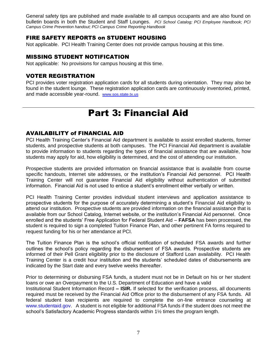General safety tips are published and made available to all campus occupants and are also found on bulletin boards in both the Student and Staff Lounges. *PCI School Catalog; PCI Employee Handbook; PCI Campus Crime Prevention handout; PCI Campus Crime Reporting Handbook*

#### <span id="page-10-0"></span>FIRE SAFETY REPORTS on STUDENT HOUSING

Not applicable. PCI Health Training Center does not provide campus housing at this time.

# <span id="page-10-1"></span>MISSING STUDENT NOTIFICATION

Not applicable: No provisions for campus housing at this time.

#### <span id="page-10-2"></span>VOTER REGISTRATION

PCI provides voter registration application cards for all students during orientation. They may also be found in the student lounge. These registration application cards are continuously inventoried, printed, and made accessible year-round. [www.sos.state.tx.us](http://www.sos.state.tx.us/)

# Part 3: Financial Aid

#### <span id="page-10-4"></span><span id="page-10-3"></span>AVAILABILITY of FINANCIAL AID

PCI Health Training Center's Financial Aid department is available to assist enrolled students, former students, and prospective students at both campuses. The PCI Financial Aid department is available to provide information to students regarding the types of financial assistance that are available, how students may apply for aid, how eligibility is determined, and the cost of attending our institution.

Prospective students are provided information on financial assistance that is available from course specific handouts, Internet site addresses, or the institution's Financial Aid personnel. PCI Health Training Center will not guarantee Financial Aid eligibility without authentication of submitted information. Financial Aid is not used to entice a student's enrollment either verbally or written.

PCI Health Training Center provides individual student interviews and application assistance to prospective students for the purpose of accurately determining a student's Financial Aid eligibility to attend our institution. Prospective students are provided information on the financial assistance that is available from our School Catalog, Internet website, or the institution's Financial Aid personnel. Once enrolled and the students' Free Application for Federal Student Aid – **FAFSA** has been processed, the student is required to sign a completed Tuition Finance Plan, and other pertinent FA forms required to request funding for his or her attendance at PCI.

The Tuition Finance Plan is the school's official notification of scheduled FSA awards and further outlines the school's policy regarding the disbursement of FSA awards. Prospective students are informed of their Pell Grant eligibility prior to the disclosure of Stafford Loan availability. PCI Health Training Center is a credit hour institution and the students' scheduled dates of disbursements are indicated by the Start date and every twelve weeks thereafter.

Prior to determining or disbursing FSA funds, a student must not be in Default on his or her student loans or owe an Overpayment to the U.S. Department of Education and have a valid Institutional Student Information Record **– ISIR.** If selected for the verification process, all documents required must be received by the Financial Aid Office prior to the disbursement of any FSA funds. All federal student loan recipients are required to complete the on-line entrance counseling at www.studentaid.gov. A student is not eligible for additional FSA funds if the student does not meet the school's Satisfactory Academic Progress standards within 1½ times the program length.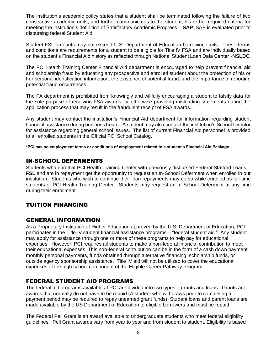The institution's academic policy states that a student shall be terminated following the failure of two consecutive academic units, and further communicates to the student, his or her required criteria for meeting the institution's definition of Satisfactory Academic Progress – **SAP**. SAP is evaluated prior to disbursing federal Student Aid.

Student FSL amounts may not exceed U.S. Department of Education borrowing limits. These terms and conditions are requirements for a student to be eligible for Title IV FSA and are individually based on the student's Financial Aid history as reflected through National Student Loan Data Center -**NSLDC**.

The PCI Health Training Center Financial Aid department is encouraged to help prevent financial aid and scholarship fraud by educating any prospective and enrolled student about the protection of his or her personal identification information, the existence of potential fraud, and the importance of reporting potential fraud occurrences.

The FA department is prohibited from knowingly and willfully encouraging a student to falsify data for the sole purpose of receiving FSA awards, or otherwise providing misleading statements during the application process that may result in the fraudulent receipt of FSA awards.

Any student may contact the institution's Financial Aid department for information regarding student financial assistance during business hours. A student may also contact the institution's School Director for assistance regarding general school issues. The list of current Financial Aid personnel is provided to all enrolled students in the Official PCI School Catalog.

**\*PCI has no employment terms or conditions of employment related to a student's Financial Aid Package.** 

# <span id="page-11-0"></span>IN-SCHOOL DEFERMENTS

Students who enroll at PCI Health Training Center with previously disbursed Federal Stafford Loans – **FSL** and are in repayment get the opportunity to request an In-School Deferment when enrolled in our institution. Students who wish to continue their loan repayments may do so while enrolled as full-time students of PCI Health Training Center. Students may request an In-School Deferment at any time during their enrollment.

# <span id="page-11-1"></span>TUITION FINANCING

# <span id="page-11-2"></span>GENERAL INFORMATION

As a Proprietary Institution of Higher Education approved by the U.S. Department of Education, PCI participates in the Title IV student financial assistance programs – "federal student aid." Any student may apply for assistance through one or more of these programs to help pay for educational expenses. However, PCI requires all students to make a non-federal financial contribution to meet their educational expenses. This non-federal contribution can be in the form of a cash down payment, monthly personal payments, funds obtained through alternative financing, scholarship funds, or outside agency sponsorship assistance. Title IV aid will not be utilized to cover the educational expenses of the high school component of the Eligible Career Pathway Program.

# <span id="page-11-3"></span>FEDERAL STUDENT AID PROGRAMS

The federal aid programs available at PCI are divided into two types – grants and loans. Grants are awards that normally do not have to be repaid (A student who withdraws prior to completing a payment period may be required to repay unearned grant funds). Student loans and parent loans are made available by the US Department of Education to eligible borrowers and must be repaid.

The Federal Pell Grant is an award available to undergraduate students who meet federal eligibility guidelines. Pell Grant awards vary from year to year and from student to student. Eligibility is based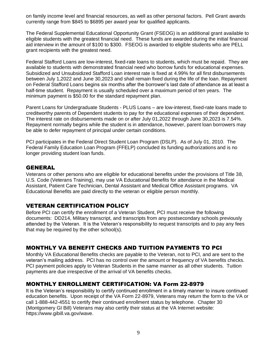on family income level and financial resources, as well as other personal factors. Pell Grant awards currently range from \$845 to \$6895 per award year for qualified applicants.

The Federal Supplemental Educational Opportunity Grant (FSEOG) is an additional grant available to eligible students with the greatest financial need. These funds are awarded during the initial financial aid interview in the amount of \$100 to \$300. FSEOG is awarded to eligible students who are PELL grant recipients with the greatest need.

Federal Stafford Loans are low-interest, fixed-rate loans to students, which must be repaid. They are available to students with demonstrated financial need who borrow funds for educational expenses. Subsidized and Unsubsidized Stafford Loan interest rate is fixed at 4.99% for all first disbursements between July 1,2022 and June 30,2023 and shall remain fixed during the life of the loan. Repayment on Federal Stafford Loans begins six months after the borrower's last date of attendance as at least a half-time student. Repayment is usually scheduled over a maximum period of ten years. The minimum payment is \$50.00 for the standard repayment plan.

Parent Loans for Undergraduate Students - PLUS Loans – are low-interest, fixed-rate loans made to creditworthy parents of Dependent students to pay for the educational expenses of their dependent. The interest rate on disbursements made on or after July 01,2022 through June 30,2023 is 7.54%. Repayment normally begins while the student is in attendance, however, parent loan borrowers may be able to defer repayment of principal under certain conditions.

PCI participates in the Federal Direct Student Loan Program (DSLP). As of July 01, 2010. The Federal Family Education Loan Program (FFELP) concluded its funding authorizations and is no longer providing student loan funds.

#### <span id="page-12-0"></span>GENERAL

Veterans or other persons who are eligible for educational benefits under the provisions of Title 38, U.S. Code (Veterans Training), may use VA Educational Benefits for attendance in the Medical Assistant, Patient Care Technician, Dental Assistant and Medical Office Assistant programs. VA Educational Benefits are paid directly to the veteran or eligible person monthly.

#### <span id="page-12-1"></span>VETERAN CERTIFICATION POLICY

Before PCI can certify the enrollment of a Veteran Student, PCI must receive the following documents: DD214, Military transcript, and transcripts from any postsecondary schools previously attended by the Veteran. It is the Veteran's responsibility to request transcripts and to pay any fees that may be required by the other school(s).

#### <span id="page-12-2"></span>MONTHLY VA BENEFIT CHECKS AND TUITION PAYMENTS TO PCI

Monthly VA Educational Benefits checks are payable to the Veteran, not to PCI, and are sent to the veteran's mailing address. PCI has no control over the amount or frequency of VA benefits checks. PCI payment policies apply to Veteran Students in the same manner as all other students. Tuition payments are due irrespective of the arrival of VA benefits checks.

#### <span id="page-12-3"></span>MONTHLY ENROLLMENT CERTIFICATION: VA Form 22-8979

It is the Veteran's responsibility to certify continued enrollment in a timely manner to insure continued education benefits. Upon receipt of the VA Form 22-8979, Veterans may return the form to the VA or call 1-888-442-4551 to certify their continued enrollment status by telephone. Chapter 30 (Montgomery GI Bill) Veterans may also certify their status at the VA Internet website: https://www.gibill.va.gov/wave.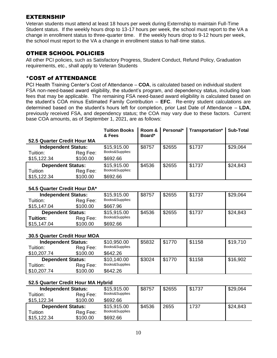# <span id="page-13-0"></span>EXTERNSHIP

Veteran students must attend at least 18 hours per week during Externship to maintain Full-Time Student status. If the weekly hours drop to 13-17 hours per week, the school must report to the VA a change in enrollment status to three-quarter time. If the weekly hours drop to 9-12 hours per week, the school must report to the VA a change in enrollment status to half-time status.

#### <span id="page-13-1"></span>OTHER SCHOOL POLICIES

All other PCI policies, such as Satisfactory Progress, Student Conduct, Refund Policy, Graduation requirements, etc., shall apply to Veteran Students

#### <span id="page-13-2"></span>\*COST of ATTENDANCE

PCI Health Training Center's Cost of Attendance – **COA**, is calculated based on individual student FSA non-need-based award eligibility, the student's program, and dependency status, including loan fees that may be applicable. The remaining FSA need-based award eligibility is calculated based on the student's COA minus Estimated Family Contribution – **EFC**. Re-entry student calculations are determined based on the student's hours left for completion, prior Last Date of Attendance – **LDA**, previously received FSA, and dependency status; the COA may vary due to these factors. Current base COA amounts, as of September 1, 2021, are as follows:

|                                                       |                      | <b>Tuition Books</b><br>& Fees             | Room &<br>Board* | Personal* | Transportation* | <b>Sub-Total</b> |
|-------------------------------------------------------|----------------------|--------------------------------------------|------------------|-----------|-----------------|------------------|
| 52.5 Quarter Credit Hour MA                           |                      |                                            |                  |           |                 |                  |
| <b>Independent Status:</b><br>Tuition:<br>\$15,122.34 | Reg Fee:<br>\$100.00 | \$15,915.00<br>Books&Supplies:<br>\$692.66 | \$8757           | \$2655    | \$1737          | \$29,064         |
| <b>Dependent Status:</b><br>Tuition<br>\$15,122.34    | Reg Fee:<br>\$100.00 | \$15,915.00<br>Books&Supplies:<br>\$692.66 | \$4536           | \$2655    | \$1737          | \$24,843         |

#### **54.5 Quarter Credit Hour DA\***

| <b>Independent Status:</b> |          | \$15,915.00     | \$8757 | \$2655 | \$1737 | \$29,064 |
|----------------------------|----------|-----------------|--------|--------|--------|----------|
| Tuition:                   | Reg Fee: | Books&Supplies: |        |        |        |          |
| \$15,147.04                | \$100.00 | \$667.96        |        |        |        |          |
| <b>Dependent Status:</b>   |          | \$15,915.00     | \$4536 | \$2655 | \$1737 | \$24,843 |
| Tuition:                   | Reg Fee: | Books&Supplies  |        |        |        |          |
| \$15,147.04                | \$100.00 | \$692.66        |        |        |        |          |

#### **30.5 Quarter Credit Hour MOA**

| <b>Independent Status:</b> |          | \$10,950.00    | \$5832 | \$1770 | \$1158 | \$19,710 |
|----------------------------|----------|----------------|--------|--------|--------|----------|
| Tuition:                   | Reg Fee: | Books&Supplies |        |        |        |          |
| \$10,207.74                | \$100.00 | \$642.26       |        |        |        |          |
| <b>Dependent Status:</b>   |          | \$10,140.00    | \$3024 | \$1770 | \$1158 | \$16,902 |
| Tuition:                   | Reg Fee: | Books&Supplies |        |        |        |          |
| \$10,207.74                | \$100.00 | \$642.26       |        |        |        |          |

#### **52.5 Quarter Credit Hour MA Hybrid**

| <b>Independent Status:</b> |          | \$15,915.00    | \$8757 | \$2655 | \$1737 | \$29,064 |
|----------------------------|----------|----------------|--------|--------|--------|----------|
| Tuition:                   | Reg Fee: | Books&Supplies |        |        |        |          |
| \$15,122.34                | \$100.00 | \$692.66       |        |        |        |          |
| <b>Dependent Status:</b>   |          | \$15,915.00    | \$4536 | 2655   | 1737   | \$24,843 |
| Tuition                    | Reg Fee: | Books&Supplies |        |        |        |          |
| \$15,122.34                | \$100.00 | \$692.66       |        |        |        |          |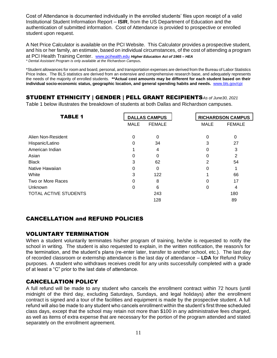Cost of Attendance is documented individually in the enrolled students' files upon receipt of a valid Institutional Student Information Report – **ISIR**, from the US Department of Education and the authentication of submitted information. Cost of Attendance is provided to prospective or enrolled student upon request.

A Net Price Calculator is available on the PCI Website. This Calculator provides a prospective student, and his or her family, an estimate, based on individual circumstances, of the cost of attending a program at PCI Health Training Center. [www.pcihealth.edu](http://www.pcihealth.edu/) *Higher Education Act of 1965 – HEA \* Dental Assistant Program is only available at the Richardson Campus.*

\*Student allowances for room and board, personal, and transportation expenses are derived from the Bureau of Labor Statistics Price Index. The BLS statistics are derived from an extensive and comprehensive research base, and adequately represents the needs of the majority of enrolled students. **\*\*Actual cost amounts may be different for each student based on their individual socio-economic status, geographic location, and general spending habits and needs.** [www.bls.gov/cpi](http://www.bls.gov/cpi)

# <span id="page-14-0"></span>STUDENT ETHNICITY | GENDER | PELL GRANT RECIPIENTS*As of June30, 2021*

Table 1 below illustrates the breakdown of students at both Dallas and Richardson campuses.

| <b>TABLE 1</b>        |             | <b>DALLAS CAMPUS</b> | <b>RICHARDSON CAMPUS</b> |               |
|-----------------------|-------------|----------------------|--------------------------|---------------|
|                       | <b>MALE</b> | <b>FEMALE</b>        | <b>MALE</b>              | <b>FEMALE</b> |
| Alien Non-Resident    | 0           | 0                    | 0                        | $\Omega$      |
| Hispanic/Latino       | 0           | 34                   | 3                        | 27            |
| American Indian       |             | 4                    | 0                        | 3             |
| Asian                 | 0           | 0                    | 0                        | 2             |
| <b>Black</b>          | 3           | 62                   | 2                        | 54            |
| Native Hawaiian       | 0           | 0                    | 0                        |               |
| White                 | 3           | 122                  |                          | 66            |
| Two or More Races     | 0           | 8                    | 0                        | 17            |
| Unknown               | 0           | 6                    | 0                        |               |
| TOTAL ACTIVE STUDENTS |             | 243                  |                          | 180           |
|                       |             | 128                  |                          | 89            |

# <span id="page-14-1"></span>CANCELLATION and REFUND POLICIES

#### <span id="page-14-2"></span>VOLUNTARY TERMINATION

When a student voluntarily terminates his/her program of training, he/she is requested to notify the school in writing. The student is also requested to explain, in the written notification, the reason/s for the termination, and the student's plans (re-enter later, transfer to another school, etc.). The last day of recorded classroom or externship attendance is the last day of attendance – **LDA** for Refund Policy purposes. A student who withdraws receives credit for any units successfully completed with a grade of at least a "C" prior to the last date of attendance.

# <span id="page-14-3"></span>CANCELLATION POLICY

A full refund will be made to any student who cancels the enrollment contract within 72 hours (until midnight of the third day, excluding Saturdays, Sundays, and legal holidays) after the enrollment contract is signed and a tour of the facilities and equipment is made by the prospective student. A full refund will also be made to any student who cancels enrollment within the student's first three scheduled class days, except that the school may retain not more than \$100 in any administrative fees charged, as well as items of extra expense that are necessary for the portion of the program attended and stated separately on the enrollment agreement.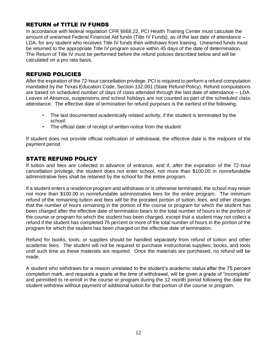# <span id="page-15-0"></span>RETURN of TITLE IV FUNDS

In accordance with federal regulation CFR §668.22, PCI Health Training Center must calculate the amount of unearned Federal Financial Aid funds (Title IV Funds), as of the last date of attendance – LDA, for any student who receives Title IV funds then withdraws from training. Unearned funds must be returned to the appropriate Title IV program source within 45 days of the date of determination. The Return of Title IV must be performed before the refund policies described below and will be calculated on a pro rata basis.

# <span id="page-15-1"></span>REFUND POLICIES

After the expiration of the 72-hour cancellation privilege, PCI is required to perform a refund computation mandated by the Texas Education Code, Section 132.061 (State Refund Policy). Refund computations are based on scheduled number of days of class attended through the last date of attendance – LDA. Leaves of Absence, suspensions and school holidays are not counted as part of the scheduled class attendance. The effective date of termination for refund purposes is the earliest of the following:

- The last documented academically related activity, if the student is terminated by the school:
- The official date of receipt of written notice from the student

If student does not provide official notification of withdrawal, the effective date is the midpoint of the payment period.

# <span id="page-15-2"></span>STATE REFUND POLICY

If tuition and fees are collected in advance of entrance, and if, after the expiration of the 72-hour cancellation privilege, the student does not enter school, not more than \$100.00 in nonrefundable administrative fees shall be retained by the school for the entire program.

If a student enters a residence program and withdraws or is otherwise terminated, the school may retain not more than \$100.00 in nonrefundable administrative fees for the entire program. The minimum refund of the remaining tuition and fees will be the prorated portion of tuition, fees, and other charges that the number of hours remaining in the portion of the course or program for which the student has been charged after the effective date of termination bears to the total number of hours in the portion of the course or program for which the student has been charged, except that a student may not collect a refund if the student has completed 75 percent or more of the total number of hours in the portion of the program for which the student has been charged on the effective date of termination.

Refund for books, tools, or supplies should be handled separately from refund of tuition and other academic fees. The student will not be required to purchase instructional supplies, books, and tools until such time as these materials are required. Once the materials are purchased, no refund will be made.

A student who withdraws for a reason unrelated to the student's academic status after the 75 percent completion mark, and requests a grade at the time of withdrawal, will be given a grade of "incomplete" and permitted to re-enroll in the course or program during the 12-month period following the date the student withdrew without payment of additional tuition for that portion of the course or program.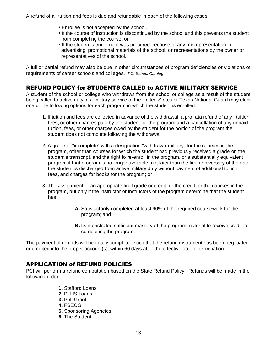A refund of all tuition and fees is due and refundable in each of the following cases:

- Enrollee is not accepted by the school.
- If the course of instruction is discontinued by the school and this prevents the student from completing the course; or
- If the student's enrollment was procured because of any misrepresentation in advertising, promotional materials of the school, or representations by the owner or representatives of the school.

A full or partial refund may also be due in other circumstances of program deficiencies or violations of requirements of career schools and colleges. *PCI School Catalog*

# <span id="page-16-0"></span>REFUND POLICY for STUDENTS CALLED to ACTIVE MILITARY SERVICE

A student of the school or college who withdraws from the school or college as a result of the student being called to active duty in a military service of the United States or Texas National Guard may elect one of the following options for each program in which the student is enrolled:

- **1.** If tuition and fees are collected in advance of the withdrawal, a pro rata refund of any tuition, fees, or other charges paid by the student for the program and a cancellation of any unpaid tuition, fees, or other charges owed by the student for the portion of the program the student does not complete following the withdrawal.
- **2.** A grade of "incomplete" with a designation "withdrawn-military" for the courses in the program, other than courses for which the student had previously received a grade on the student's transcript, and the right to re-enroll in the program, or a substantially equivalent program if that program is no longer available, not later than the first anniversary of the date the student is discharged from active military duty without payment of additional tuition, fees, and charges for books for the program; or
- **3.** The assignment of an appropriate final grade or credit for the credit for the courses in the program, but only if the instructor or instructors of the program determine that the student has:
	- **A.** Satisfactorily completed at least 90% of the required coursework for the program; and
	- **B.** Demonstrated sufficient mastery of the program material to receive credit for completing the program.

The payment of refunds will be totally completed such that the refund instrument has been negotiated or credited into the proper account(s), within 60 days after the effective date of termination.

# <span id="page-16-1"></span>APPLICATION of REFUND POLICIES

PCI will perform a refund computation based on the State Refund Policy. Refunds will be made in the following order:

- **1.** Stafford Loans
- **2.** PLUS Loans
- **3.** Pell Grant
- **4.** FSEOG
- **5.** Sponsoring Agencies
- **6.** The Student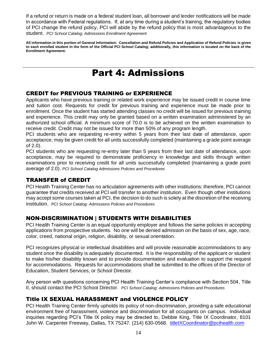If a refund or return is made on a federal student loan, all borrower and lender notifications will be made in accordance with Federal regulations. If, at any time during a student's training, the regulatory bodies of PCI change the refund policy, PCI will abide by the refund policy that is most advantageous to the student. *PCI School Catalog; Admissions Enrollment Agreement*

**All information in this portion of General Information: Cancellation and Refund Policies and Application of Refund Policies is given to each enrolled student in the form of the Official PCI School Catalog; additionally, this information is located on the back of the Enrollment Agreement.**

# Part 4: Admissions

# <span id="page-17-1"></span><span id="page-17-0"></span>CREDIT for PREVIOUS TRAINING or EXPERIENCE

Applicants who have previous training or related work experience may be issued credit in course time and tuition cost. Requests for credit for previous training and experience must be made prior to enrollment. Once the student has started attending classes no credit will be issued for previous training and experience. This credit may only be granted based on a written examination administered by an authorized school official. A minimum score of 70.0 is to be achieved on the written examination to receive credit. Credit may not be issued for more than 50% of any program length.

PCI students who are requesting re-entry within 5 years from their last date of attendance, upon acceptance, may be given credit for all units successfully completed (maintaining a grade point average of 2.0).

PCI students who are requesting re-entry later than 5 years from their last date of attendance, upon acceptance, may be required to demonstrate proficiency in knowledge and skills through written examinations prior to receiving credit for all units successfully completed (maintaining a grade point average of 2.0). *PCI School Catalog Admissions Policies and Procedures*

#### <span id="page-17-2"></span>TRANSFER of CREDIT

PCI Health Training Center has no articulation agreements with other institutions; therefore, PCI cannot guarantee that credits received at PCI will transfer to another institution. Even though other institutions may accept some courses taken at PCI, the decision to do such is solely at the discretion of the receiving institution. *PCI School Catalog: Admissions Policies and Procedures*

# <span id="page-17-3"></span>NON-DISCRIMINATION | STUDENTS WITH DISABILITIES

PCI Health Training Center is an equal opportunity employer and follows the same policies in accepting applications from prospective students. No one will be denied admission on the basis of sex, age, race, color, creed, national origin, religion, disability, or sexual orientation.

PCI recognizes physical or intellectual disabilities and will provide reasonable accommodations to any student once the disability is adequately documented. It is the responsibility of the applicant or student to make his/her disability known and to provide documentation and evaluation to support the request for accommodations. Requests for accommodations shall be submitted to the offices of the Director of Education, Student Services, or School Director.

Any person with questions concerning PCI Health Training Center's compliance with Section 504, Title II, should contact the PCI School Director. *PCI School Catalog: Admissions Policies and Procedures*

#### <span id="page-17-4"></span>Title IX SEXUAL HARASSMENT and VIOLENCE POLICY

PCI Health Training Center firmly upholds its policy of non-discrimination, providing a safe educational environment free of harassment, violence and discrimination for all occupants on campus. Individual inquiries regarding PCI's Title IX policy may be directed to, Debbie King, Title IX Coordinator, 8101 John W. Carpenter Freeway, Dallas, TX 75247. (214) 630-0568. titleIXCoordinator@pcihealth.com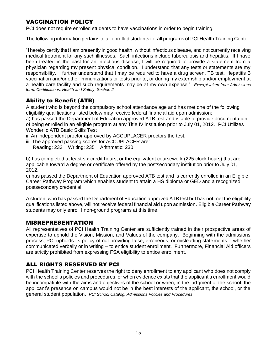# <span id="page-18-0"></span>VACCINATION POLICY

PCI does not require enrolled students to have vaccinations in order to begin training.

The following information pertains to all enrolled students for all programs of PCI Health Training Center:

"I hereby certify that I am presently in good health, without infectious disease, and not currently receiving medical treatment for any such illnesses. Such infections include tuberculosis and hepatitis. If I have been treated in the past for an infectious disease, I will be required to provide a statement from a physician regarding my present physical condition. I understand that any tests or statements are my responsibility. I further understand that I may be required to have a drug screen, TB test, Hepatitis B vaccination and/or other immunizations or tests prior to, or during my externship and/or employment at a health care facility and such requirements may be at my own expense." *Excerpt taken from Admissions form: Certifications: Health and Safety, Section 2*

# <span id="page-18-1"></span>Ability to Benefit (ATB)

A student who is beyond the compulsory school attendance age and has met one of the following eligibility qualifications listed below may receive federal financial aid upon admission:

a) has passed the Department of Education approved ATB test and is able to provide documentation of being enrolled in an eligible program at any Title IV institution prior to July 01, 2012. PCI Utilizes Wonderlic ATB Basic Skills Test

ii. An independent proctor approved by ACCUPLACER proctors the test.

- iii. The approved passing scores for ACCUPLACER are:
	- Reading: 233 Writing: 235 Arithmetic: 230

b) has completed at least six credit hours, or the equivalent coursework (225 clock hours) that are applicable toward a degree or certificate offered by the postsecondary institution prior to July 01, 2012.

c) has passed the Department of Education approved ATB test and is currently enrolled in an Eligible Career Pathway Program which enables student to attain a HS diploma or GED and a recognized postsecondary credential.

A student who has passed the Department of Education approved ATB test but has not met the eligibility qualifications listed above, will not receive federal financial aid upon admission. Eligible Career Pathway students may only enroll I non-ground programs at this time.

#### <span id="page-18-2"></span>MISREPRESENTATION

All representatives of PCI Health Training Center are sufficiently trained in their prospective areas of expertise to uphold the Vision, Mission, and Values of the company. Beginning with the admissions process, PCI upholds its policy of not providing false, erroneous, or misleading statements – whether communicated verbally or in writing – to entice student enrollment. Furthermore, Financial Aid officers are strictly prohibited from expressing FSA eligibility to entice enrollment.

# <span id="page-18-3"></span>ALL RIGHTS RESERVED BY PCI

PCI Health Training Center reserves the right to deny enrollment to any applicant who does not comply with the school's policies and procedures, or when evidence exists that the applicant's enrollment would be incompatible with the aims and objectives of the school or when, in the judgment of the school, the applicant's presence on campus would not be in the best interests of the applicant, the school, or the general student population. *PCI School Catalog: Admissions Policies and Procedures*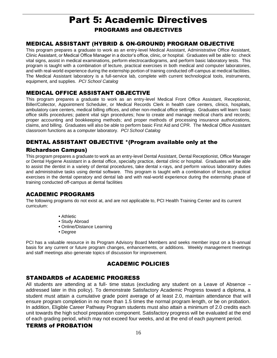# Part 5: Academic Directives PROGRAMS and OBJECTIVES

# <span id="page-19-2"></span><span id="page-19-1"></span><span id="page-19-0"></span>MEDICAL ASSISTANT (HYBRID & ON-GROUND) PROGRAM OBJECTIVE

This program prepares a graduate to work as an entry-level Medical Assistant, Administrative Office Assistant, Clinic Assistant, or Medical Office Manager in a doctor's office, clinic, or hospital. Graduates will be able to: check vital signs, assist in medical examinations, perform electrocardiograms, and perform basic laboratory tests. This program is taught with a combination of lecture, practical exercises in both medical and computer laboratories, and with real-world experience during the externship portion of training conducted off-campus at medical facilities. The Medical Assistant laboratory is a full-service lab, complete with current technological tools, instruments, equipment, and supplies. *PCI School Catalog*

# <span id="page-19-3"></span>MEDICAL OFFICE ASSISTANT OBJECTIVE

This program prepares a graduate to work as an entry-level Medical Front Office Assistant, Receptionist, Biller/Collector, Appointment Scheduler, or Medical Records Clerk in health care centers, clinics, hospitals, ambulatory care centers, medical billing offices, and other non-medical office settings. Graduates will learn: basic office skills procedures; patient vital sign procedures; how to create and manage medical charts and records; proper accounting and bookkeeping methods; and proper methods of processing insurance authorizations, claims, and billing. Graduates will also be able to perform basic First Aid and CPR. The Medical Office Assistant classroom functions as a computer laboratory. *PCI School Catalog*

# <span id="page-19-4"></span>DENTAL ASSISTANT OBJECTIVE \*(Program available only at the

#### Richardson Campus)

This program prepares a graduate to work as an entry-level Dental Assistant, Dental Receptionist, Office Manager or Dental Hygiene Assistant in a dental office, specialty practice, dental clinic or hospital. Graduates will be able to assist the dentist in a variety of dental procedures, take dental x-rays, and perform various laboratory duties and administrative tasks using dental software. This program is taught with a combination of lecture, practical exercises in the dental operatory and dental lab and with real-world experience during the externship phase of training conducted off-campus at dental facilities

# <span id="page-19-5"></span>ACADEMIC PROGRAMS

The following programs do not exist at, and are not applicable to, PCI Health Training Center and its current curriculum:

- Athletic
- Study Abroad
- Online/Distance Learning
- Degree

PCI has a valuable resource in its Program Advisory Board Members and seeks member input on a bi-annual basis for any current or future program changes, enhancements, or additions. Weekly management meetings and staff meetings also generate topics of discussion for improvement.

# ACADEMIC POLICIES

# <span id="page-19-7"></span><span id="page-19-6"></span>STANDARDS of ACADEMIC PROGRESS

All students are attending at a full- time status (excluding any student on a Leave of Absence – addressed later in this policy). To demonstrate Satisfactory Academic Progress toward a diploma, a student must attain a cumulative grade point average of at least 2.0, maintain attendance that will ensure program completion in no more than 1.5 times the normal program length, or be on probation. In addition, Eligible Career Pathway Program students must also attain a minimum of 2.0 credits each unit towards the high school preparation component. Satisfactory progress will be evaluated at the end of each grading period, which may not exceed four weeks, and at the end of each payment period.

#### <span id="page-19-8"></span>TERMS of PROBATION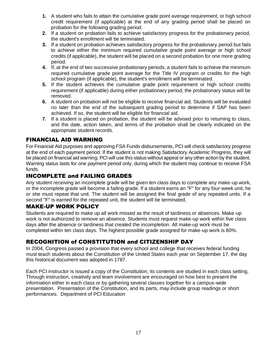- **1.** A student who fails to attain the cumulative grade point average requirement, or high school credit requirement (if applicable) at the end of any grading period shall be placed on probation for the following grading period.
- **2.** If a student on probation fails to achieve satisfactory progress for the probationary period, the student's enrollment will be terminated.
- **3.** If a student on probation achieves satisfactory progress for the probationary period but fails to achieve either the minimum required *cumulative* grade point average or high school credits (if applicable), the student will be placed on a second probation for one more grading period.
- **4.** If, at the end of two successive probationary periods, a student fails to achieve the minimum required cumulative grade point average for the Title IV program or credits for the high school program (if applicable), the student's enrollment will be terminated.
- **5.** If the student achieves the cumulative grade point requirement or high school credits requirement (if applicable) during either probationary period, the probationary status will be removed.
- **6.** A student on probation will not be eligible to receive financial aid. Students will be evaluated no later than the end of the subsequent grading period to determine if SAP has been achieved. If so, the student will be eligible for financial aid.
- **7.** If a student is placed on probation, the student will be advised prior to returning to class, and the date, action taken, and terms of the probation shall be clearly indicated on the appropriate student records.

# <span id="page-20-0"></span>FINANCIAL AID WARNING

For Financial Aid purposes and approving FSA Funds disbursements, PCI will check satisfactory progress at the end of each payment period. If the student is not making Satisfactory Academic Progress, they will be placed on financial aid warning. PCI will use this status without appeal or any other action by the student. Warning status lasts for one payment period only, during which the student may continue to receive FSA funds.

# <span id="page-20-1"></span>INCOMPLETE and FAILING GRADES

Any student receiving an incomplete grade will be given ten class days to complete any make-up work, or the incomplete grade will become a failing grade. If a student earns an "F" for any four-week unit, he or she must repeat that unit. The student will be assigned the final grade of any repeated units. If a second "F" is earned for the repeated unit, the student will be terminated.

# <span id="page-20-2"></span>MAKE-UP WORK POLICY

Students are required to make up all work missed as the result of tardiness or absences. Make-up work is not authorized to remove an absence. Students must request make-up work within five class days after the absence or tardiness that created the incompletion. All make-up work must be completed within ten class days. The highest possible grade assigned for make-up work is 80%.

# <span id="page-20-3"></span>RECOGNITION of CONSTITUTION and CITIZENSHIP DAY

In 2004, Congress passed a provision that every school and college that receives federal funding must teach students about the Constitution of the United States each year on September 17, the day this historical document was adopted in 1787.

Each PCI instructor is issued a copy of the Constitution; its contents are studied in each class setting. Through instruction, creativity and team involvement are encouraged on how best to present the information either in each class or by gathering several classes together for a campus-wide presentation. Presentation of the Constitution, and its parts, may include group readings or short performances. Department of PCI Education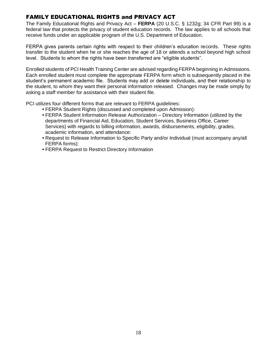# <span id="page-21-0"></span>FAMILY EDUCATIONAL RIGHTS and PRIVACY ACT

The Family Educational Rights and Privacy Act – **FERPA** (20 U.S.C. § 1232g; 34 CFR Part 99) is a federal law that protects the privacy of student education records. The law applies to all schools that receive funds under an applicable program of the U.S. Department of Education.

FERPA gives parents certain rights with respect to their children's education records. These rights transfer to the student when he or she reaches the age of 18 or attends a school beyond high school level. Students to whom the rights have been transferred are "eligible students".

Enrolled students of PCI Health Training Center are advised regarding FERPA beginning in Admissions. Each enrolled student must complete the appropriate FERPA form which is subsequently placed in the student's permanent academic file. Students may add or delete individuals, and their relationship to the student, to whom they want their personal information released. Changes may be made simply by asking a staff member for assistance with their student file.

PCI utilizes four different forms that are relevant to FERPA guidelines:

- FERPA Student Rights (discussed and completed upon Admission):
- FERPA Student Information Release Authorization Directory Information (utilized by the departments of Financial Aid, Education, Student Services, Business Office, Career Services) with regards to billing information, awards, disbursements, eligibility, grades, academic information, and attendance:
- Request to Release Information to Specific Party and/or Individual (must accompany any/all FERPA forms):
- FERPA Request to Restrict Directory Information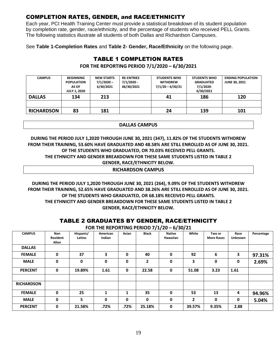# <span id="page-22-0"></span>COMPLETION RATES, GENDER, and RACE/ETHNICITY

Each year, PCI Health Training Center must provide a statistical breakdown of its student population by completion rate, gender, race/ethnicity, and the percentage of students who received PELL Grants. The following statistics illustrate all students of both Dallas and Richardson Campuses.

<span id="page-22-1"></span>See **Table 1-Completion Rates** and **Table 2- Gender, Race/Ethnicity** on the following page.

# TABLE 1 COMPLETION RATES

**FOR THE REPORTING PERIOD 7/1/2020 – 6/30/2021**

| <b>CAMPUS</b>     | <b>BEGINNING</b><br><b>POPULATION</b><br>AS OF<br><b>JULY 1, 2020</b> | <b>NEW STARTS</b><br>$7/1/2020 -$<br>6/30/2021 | <b>RE-ENTRIES</b><br>$7/1/2020 -$<br>06/30/2021 | <b>STUDENTS WHO</b><br><b>WITHDREW</b><br>$7/1/20 - 6/30/21$ | <b>STUDENTS WHO</b><br><b>GRADUATED</b><br>7/1/2020-<br>6/30/2021 | <b>ENDING POPULATION</b><br><b>JUNE 30, 2021</b> |
|-------------------|-----------------------------------------------------------------------|------------------------------------------------|-------------------------------------------------|--------------------------------------------------------------|-------------------------------------------------------------------|--------------------------------------------------|
| <b>DALLAS</b>     | 134                                                                   | 213                                            |                                                 | 41                                                           | 186                                                               | 120                                              |
|                   |                                                                       |                                                |                                                 |                                                              |                                                                   |                                                  |
| <b>RICHARDSON</b> | 83                                                                    | 181                                            |                                                 | 24                                                           | 139                                                               | 101                                              |

#### **DALLAS CAMPUS**

#### **DURING THE PERIOD JULY 1,2020 THROUGH JUNE 30, 2021 (347), 11.82% OF THE STUDENTS WITHDREW FROM THEIR TRAINING, 53.60% HAVE GRADUATED AND 48.58% ARE STILL ENROLLED AS OF JUNE 30, 2021. OF THE STUDENTS WHO GRADUATED, OR 70.03% RECEIVED PELL GRANTS. THE ETHNICITY AND GENDER BREAKDOWN FOR THESE SAME STUDENTS LISTED IN TABLE 2 GENDER, RACE/ETHNICITY BELOW. RICHARDSON CAMPUS**

**DURING THE PERIOD JULY 1,2020 THROUGH JUNE 30, 2021 (264), 9.09% OF THE STUDENTS WITHDREW FROM THEIR TRAINING, 52.65% HAVE GRADUATED AND 38.26% ARE STILL ENROLLED AS OF JUNE 30, 2021. OF THE STUDENTS WHO GRADUATED, OR 68.18% RECEIVED PELL GRANTS. THE ETHNICITY AND GENDER BREAKDOWN FOR THESE SAME STUDENTS LISTED IN TABLE 2 GENDER, RACE/ETHNICITY BELOW.**

# TABLE 2 GRADUATES BY GENDER, RACE/ETHNICITY

<span id="page-22-2"></span>

|                   |                                           |                     |                    |       |              | IADLL & VRADVATEV DT VERDERI RAVE/ETHRIVIT I |       |                             |                        |            |  |
|-------------------|-------------------------------------------|---------------------|--------------------|-------|--------------|----------------------------------------------|-------|-----------------------------|------------------------|------------|--|
|                   | FOR THE REPORTING PERIOD 7/1/20 - 6/30/21 |                     |                    |       |              |                                              |       |                             |                        |            |  |
| <b>CAMPUS</b>     | Non<br><b>Resident</b><br>Alien           | Hispanic/<br>Latino | American<br>Indian | Asian | <b>Black</b> | <b>Native</b><br>Hawaiian                    | White | Two or<br><b>More Races</b> | Race<br><b>Unknown</b> | Percentage |  |
| <b>DALLAS</b>     |                                           |                     |                    |       |              |                                              |       |                             |                        |            |  |
| <b>FEMALE</b>     | 0                                         | 37                  | 3                  | 0     | 40           | 0                                            | 92    | 6                           | 3                      | 97.31%     |  |
| <b>MALE</b>       | 0                                         | 0                   | 0                  | 0     | $\mathbf{2}$ | 0                                            | 3     | 0                           | 0                      | 2.69%      |  |
| <b>PERCENT</b>    | 0                                         | 19.89%              | 1.61               | 0     | 22.58        | 0                                            | 51.08 | 3.23                        | 1.61                   |            |  |
| <b>RICHARDSON</b> |                                           |                     |                    |       |              |                                              |       |                             |                        |            |  |
| <b>FEMALE</b>     | 0                                         | 25                  |                    |       | 35           | 0                                            | 53    | 13                          | 4                      | 94.96%     |  |

**PERCENT 0 21.58% .72% .72% 25.18% 0 39.57% 9.35% 2.88**

**MALE 0 5 0 0 0 0 2 0 0 5.04%**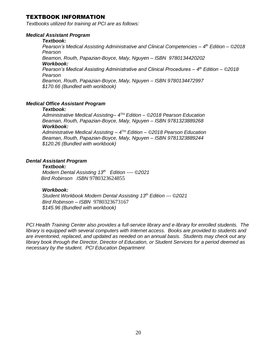#### <span id="page-23-0"></span>TEXTBOOK INFORMATION

*Textbooks utilized for training at PCI are as follows:*

#### *Medical Assistant Program*

#### *Textbook:*

*Pearson's Medical Assisting Administrative and Clinical Competencies – 4 th Edition – ©2018 Pearson*

*Beamon, Routh, Papazian-Boyce, Maly, Nguyen – ISBN 9780134420202 Workbook:*

*Pearson's Medical Assisting Administrative and Clinical Procedures – 4 th Edition – ©2018 Pearson*

*Beamon, Routh, Papazian-Boyce, Maly, Nguyen – ISBN 9780134472997 \$170.66 (Bundled with workbook)*

#### *Medical Office Assistant Program*

#### *Textbook:*

*Administrative Medical Assisting– 4 TH Edition – ©2018 Pearson Education Beaman, Routh, Papazian-Boyce, Maly, Nguyen – ISBN 9781323889268 Workbook: Administrative Medical Assisting – 4 TH Edition – ©2018 Pearson Education*

*Beaman, Routh, Papazian-Boyce, Maly, Nguyen – ISBN 9781323889244 \$120.26 (Bundled with workbook)*

#### *Dental Assistant Program*

#### *Textbook:*

*Modern Dental Assisting 13th Edition ---- ©2021 Bird Robinson ISBN* 9780323624855

#### *Workbook:*

*Student Workbook Modern Dental Assisting 13th Edition --- ©2021 Bird Robinson – ISBN* 9780323673167 *\$145.96 (Bundled with workbook)*

*PCI Health Training Center also provides a full-service library and e-library for enrolled students. The library is equipped with several computers with Internet access. Books are provided to students and are inventoried, replaced, and updated as needed on an annual basis. Students may check out any library book through the Director, Director of Education, or Student Services for a period deemed as necessary by the student. PCI Education Department*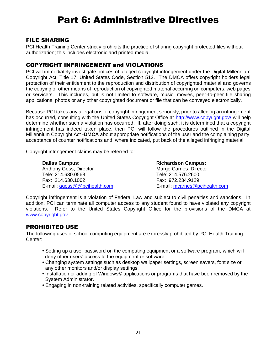# Part 6: Administrative Directives

#### <span id="page-24-1"></span><span id="page-24-0"></span>FILE SHARING

PCI Health Training Center strictly prohibits the practice of sharing copyright protected files without authorization; this includes electronic and printed media.

# <span id="page-24-2"></span>COPYRIGHT INFRINGEMENT and VIOLATIONS

PCI will immediately investigate notices of alleged copyright infringement under the Digital Millennium Copyright Act, Title 17, United States Code, Section 512. The DMCA offers copyright holders legal protection of their entitlement to the reproduction and distribution of copyrighted material and governs the copying or other means of reproduction of copyrighted material occurring on computers, web pages or servicers. This includes, but is not limited to software, music, movies, peer-to-peer file sharing applications, photos or any other copyrighted document or file that can be conveyed electronically.

Because PCI takes any allegations of copyright infringement seriously, prior to alleging an infringement has occurred, consulting with the United States Copyright Office at<http://www.copyright.gov/> will help determine whether such a violation has occurred. If, after doing such, it is determined that a copyright infringement has indeed taken place, then PCI will follow the procedures outlined in the Digital Millennium Copyright Act -**DMCA** about appropriate notifications of the user and the complaining party, acceptance of counter notifications and, where indicated, put back of the alleged infringing material.

Copyright infringement claims may be referred to:

**Dallas Campus: Richardson Campus: Richardson Campus:** Anthony Goss, Director **Marge Carnes**, Director Tele: 214.630.0568 Tele: 214.576.2600 Fax: 214.630.1002 Fax: 972.234.9129 E-mail: [agoss@@pcihealth.com](mailto:agoss@@pcihealth.com) E-mail: [mcarnes@pcihealth.com](mailto:mcarnes@pcihealth.com)

Copyright infringement is a violation of Federal Law and subject to civil penalties and sanctions. In addition, PCI can terminate all computer access to any student found to have violated any copyright violations. Refer to the United States Copyright Office for the provisions of the DMCA at [www.copyright.gov](http://www.copyright.gov/)

# <span id="page-24-3"></span>PROHIBITED USE

The following uses of school computing equipment are expressly prohibited by PCI Health Training Center:

- Setting up a user password on the computing equipment or a software program, which will deny other users' access to the equipment or software.
- Changing system settings such as desktop wallpaper settings, screen savers, font size or any other monitors and/or display settings.
- Installation or adding of Windows© applications or programs that have been removed by the System Administrator.
- Engaging in non-training related activities, specifically computer games.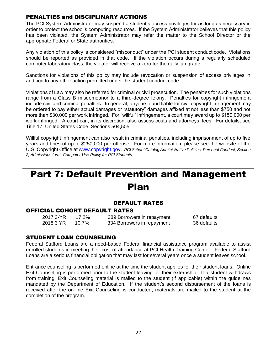# <span id="page-25-0"></span>PENALTIES and DISCIPLINARY ACTIONS

The PCI System Administrator may suspend a student's access privileges for as long as necessary in order to protect the school's computing resources. If the System Administrator believes that this policy has been violated, the System Administrator may refer the matter to the School Director or the appropriate Federal or State authorities.

Any violation of this policy is considered "misconduct" under the PCI student conduct code. Violations should be reported as provided in that code. If the violation occurs during a regularly scheduled computer laboratory class, the violator will receive a zero for the daily lab grade.

Sanctions for violations of this policy may include revocation or suspension of access privileges in addition to any other action permitted under the student conduct code.

Violations of Law may also be referred for criminal or civil prosecution. The penalties for such violations range from a Class B misdemeanor to a third-degree felony. Penalties for copyright infringement include civil and criminal penalties. In general, anyone found liable for civil copyright infringement may be ordered to pay either actual damages or "statutory" damages affixed at not less than \$750 and not more than \$30,000 per work infringed. For "willful" infringement, a court may award up to \$150,000 per work infringed. A court can, in its discretion, also assess costs and attorneys' fees. For details, see Title 17, United States Code, Sections 504,505.

Willful copyright infringement can also result in criminal penalties, including imprisonment of up to five years and fines of up to \$250,000 per offense. For more information, please see the website of the U.S. Copyright Office at [www.copyright.gov.](http://www.copyright.gov/) *PCI School Catalog Administrative Policies: Personal Conduct, Section 2; Admissions form: Computer Use Policy for PCI Students*

# <span id="page-25-1"></span>Part 7: Default Prevention and Management Plan

# DEFAULT RATES

#### <span id="page-25-3"></span><span id="page-25-2"></span>OFFICIAL COHORT DEFAULT RATES

| 2017 3-YR | 17.2% | 389 Borrowers in repayment | 67 defaults |
|-----------|-------|----------------------------|-------------|
| 2018 3 YR | 10.7% | 334 Borrowers in repayment | 36 defaults |

#### <span id="page-25-4"></span>STUDENT LOAN COUNSELING

Federal Stafford Loans are a need-based Federal financial assistance program available to assist enrolled students in meeting their cost of attendance at PCI Health Training Center. Federal Stafford Loans are a serious financial obligation that may last for several years once a student leaves school.

Entrance counseling is performed online at the time the student applies for their student loans. Online Exit Counseling is performed prior to the student leaving for their externship. If a student withdraws from training, Exit Counseling material is mailed to the student (if applicable) within the guidelines mandated by the Department of Education. If the student's second disbursement of the loans is received after the on-line Exit Counseling is conducted, materials are mailed to the student at the completion of the program.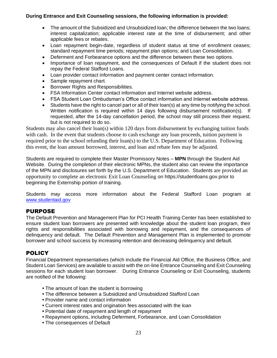#### **During Entrance and Exit Counseling sessions, the following information is provided:**

- The amount of the Subsidized and Unsubsidized loan; the difference between the two loans; interest capitalization; applicable interest rate at the time of disbursement; and other applicable fees or rebates.
- Loan repayment begin-date, regardless of student status at time of enrollment ceases; standard repayment time periods; repayment plan options; and Loan Consolidation.
- Deferment and Forbearance options and the difference between these two options.
- Importance of loan repayment, and the consequences of Default if the student does not repay the Federal Stafford Loans.
- Loan provider contact information and payment center contact information.
- Sample repayment chart.
- Borrower Rights and Responsibilities.
- FSA Information Center contact information and Internet website address.
- FSA Student Loan Ombudsman's Office contact information and Internet website address.
- Students have the right to cancel part or all of their loan(s) at any time by notifying the school. Written notification is required within 14 days following disbursement notification(s). If requested, after the 14-day cancellation period, the school may still process their request, but is not required to do so.

Students may also cancel their loan(s) within 120 days from disbursement by exchanging tuition funds with cash. In the event that students choose to cash exchange any loan proceeds, tuition payment is required prior to the school refunding their loan(s) to the U.S. Department of Education. Following this event, the loan amount borrowed, interest, and loan and rebate fees may be adjusted.

Students are required to complete their Master Promissory Notes – **MPN** through the Student Aid Website. During the completion of their electronic MPNs, the student also can review the importance of the MPN and disclosures set forth by the U.S. Department of Education. Students are provided an opportunity to complete an electronic Exit Loan Counseling on https://studentloans.gov.prior to beginning the Externship portion of training.

Students may access more information about the Federal Stafford Loan program at [www.studentaid.gov](http://www.studentaid.gov/)

# <span id="page-26-0"></span>PURPOSE

The Default Prevention and Management Plan for PCI Health Training Center has been established to ensure student loan borrowers are presented with knowledge about the student loan program, their rights and responsibilities associated with borrowing and repayment, and the consequences of delinquency and default. The Default Prevention and Management Plan is implemented to promote borrower and school success by increasing retention and decreasing delinquency and default.

# <span id="page-26-1"></span>**POLICY**

Financial Department representatives (which include the Financial Aid Office, the Business Office, and Student Loan Services) are available to assist with the on-line Entrance Counseling and Exit Counseling sessions for each student loan borrower. During Entrance Counseling or Exit Counseling, students are notified of the following:

- The amount of loan the student is borrowing
- The difference between a Subsidized and Unsubsidized Stafford Loan
- **•** Provider name and contact information
- Current interest rates and origination fees associated with the loan
- Potential date of repayment and length of repayment
- Repayment options, including Deferment, Forbearance, and Loan Consolidation
- The consequences of Default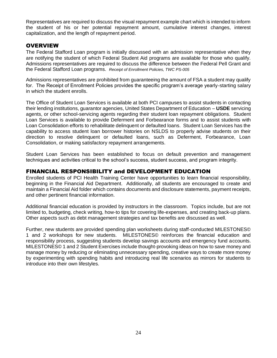Representatives are required to discuss the visual repayment example chart which is intended to inform the student of his or her potential repayment amount, cumulative interest changes, interest capitalization, and the length of repayment period.

#### <span id="page-27-0"></span>**OVERVIEW**

The Federal Stafford Loan program is initially discussed with an admission representative when they are notifying the student of which Federal Student Aid programs are available for those who qualify. Admissions representatives are required to discuss the difference between the Federal Pell Grant and the Federal Stafford Loan programs. *Receipt of Enrollment Policies, TWC PS-005* 

Admissions representatives are prohibited from guaranteeing the amount of FSA a student may qualify for. The Receipt of Enrollment Policies provides the specific program's average yearly-starting salary in which the student enrolls.

The Office of Student Loan Services is available at both PCI campuses to assist students in contacting their lending institutions, guarantor agencies, United States Department of Education – **USDE** servicing agents, or other school-servicing agents regarding their student loan repayment obligations. Student Loan Services is available to provide Deferment and Forbearance forms and to assist students with Loan Consolidation efforts to rehabilitate delinquent or defaulted loans. Student Loan Services has the capability to access student loan borrower histories on NSLDS to properly advise students on their direction to resolve delinquent or defaulted loans, such as Deferment, Forbearance, Loan Consolidation, or making satisfactory repayment arrangements.

Student Loan Services has been established to focus on default prevention and management techniques and activities critical to the school's success, student success, and program integrity.

# <span id="page-27-1"></span>FINANCIAL RESPONSIBILITY and DEVELOPMENT EDUCATION

Enrolled students of PCI Health Training Center have opportunities to learn financial responsibility, beginning in the Financial Aid Department. Additionally, all students are encouraged to create and maintain a Financial Aid folder which contains documents and disclosure statements, payment receipts, and other pertinent financial information.

Additional financial education is provided by instructors in the classroom. Topics include, but are not limited to, budgeting, check writing, how-to tips for covering life-expenses, and creating back-up plans. Other aspects such as debt management strategies and tax benefits are discussed as well.

Further, new students are provided spending plan worksheets during staff-conducted MILESTONES© 1 and 2 workshops for new students. MILESTONES© reinforces the financial education and responsibility process, suggesting students develop savings accounts and emergency fund accounts. MILESTONES© 1 and 2 Student Exercises include thought-provoking ideas on how to save money and manage money by reducing or eliminating unnecessary spending, creative ways to create more money by experimenting with spending habits and introducing real life scenarios as mirrors for students to introduce into their own lifestyles.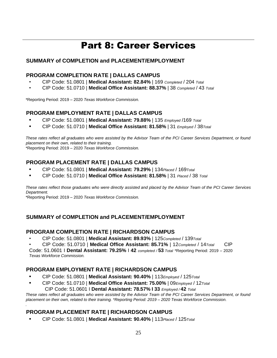# Part 8: Career Services

# <span id="page-28-0"></span>**SUMMARY of COMPLETION and PLACEMENT/EMPLOYMENT**

#### <span id="page-28-1"></span>**PROGRAM COMPLETION RATE | DALLAS CAMPUS**

- CIP Code: 51.0801 | **Medical Assistant: 82.84%** | 169 *Completed* / 204 *Total*
- CIP Code: 51.0710 | **Medical Office Assistant: 88.37%** | 38 *Completed* / 43 *Total*

\*Reporting Period: 2019 – 2020 *Texas Workforce Commission.*

# <span id="page-28-2"></span>**PROGRAM EMPLOYMENT RATE | DALLAS CAMPUS**

- **•** CIP Code: 51.0801 | **Medical Assistant: 79.88%** | 135 *Employed* /169 *Total*
- **•** CIP Code: 51.0710 | **Medical Office Assistant: 81.58%** | 31 *Employed* / 38*Total*

*These rates reflect all graduates who were assisted by the Advisor Team of the PCI Career Services Department, or found placement on their own, related to their training.*  \*Reporting Period: 2019 – 2020 *Texas Workforce Commission.*

# <span id="page-28-3"></span>**PROGRAM PLACEMENT RATE | DALLAS CAMPUS**

- **•** CIP Code: 51.0801 | **Medical Assistant: 79.29%** | 134*Placed* / 169*Total*
- **•** CIP Code: 51.0710 | **Medical Office Assistant: 81.58%** | 31 *Placed* / 38 *Total*

*These rates reflect those graduates who were directly assisted and placed by the Advisor Team of the PCI Career Services Department.* 

\*Reporting Period: 2019 – 2020 *Texas Workforce Commission.* 

# **SUMMARY of COMPLETION and PLACEMENT/EMPLOYMENT**

#### <span id="page-28-4"></span>**PROGRAM COMPLETION RATE | RICHARDSON CAMPUS**

- CIP Code: 51.0801 | **Medical Assistant: 89.93%** | 125*Completed* / 139*Total*
- CIP Code: 51.0710 | **Medical Office Assistant: 85.71%** | 12*Completed* / 14*Total* CIP

Code: 51.0601 I **Dental Assistant: 79.25%** I **42** *completed /* **53** *Total* \*Reporting Period: 2019 – 2020 *Texas Workforce Commission.* 

# <span id="page-28-5"></span>**PROGRAM EMPLOYMENT RATE | RICHARDSON CAMPUS**

- **•** CIP Code: 51.0801 | **Medical Assistant: 90.40%** | 113*Employed* / 125*Total*
- **•** CIP Code: 51.0710 | **Medical Office Assistant: 75.00%** | 09*Employed* / 12*Total* CIP Code: 51.0601 I **Dental Assistant: 78.57% I 33** *Employed /* **42** *Total*

*These rates reflect all graduates who were assisted by the Advisor Team of the PCI Career Services Department, or found placement on their own, related to their training. \*Reporting Period: 2019 – 2020 Texas Workforce Commission.* 

# <span id="page-28-6"></span>**PROGRAM PLACEMENT RATE | RICHARDSON CAMPUS**

*.* 

**•** CIP Code: 51.0801 | **Medical Assistant: 90.40%** | 113*Placed* / 125*Total*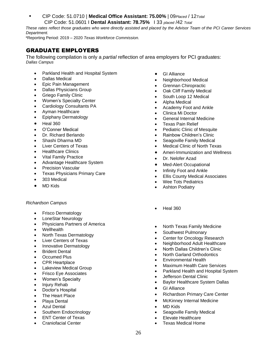**•** CIP Code: 51.0710 | **Medical Office Assistant: 75.00%** | 09*Placed* / 12*Total* CIP Code: 51.0601 I **Dental Assistant: 78.75%** I 33 *placed* /42 *Total* 

*These rates reflect those graduates who were directly assisted and placed by the Advisor Team of the PCI Career Services Department.* 

\*Reporting Period: 2019 – 2020 *Texas Workforce Commission.* 

# <span id="page-29-0"></span>GRADUATE EMPLOYERS

The following compilation is only a *partial* reflection of area employers for PCI graduates: *Dallas Campus*

- Parkland Health and Hospital System
- Dallas Medical
- Epic Pain Management
- Dallas Physicians Group
- Griego Family Clinic
- Women's Specialty Center
- Cardiology Consultants PA
- Ayman Healthcare
- Epiphany Dermatology
- Heal 360
- O'Conner Medical
- Dr. Richard Berlando
- Shashi Dharma MD
- Liver Centers of Texas
- Healthcare Clinics
- Vital Family Practice
- Advantage Healthcare System
- Precision Vascular
- Texas Physicians Primary Care
- 303 Medical
- MD Kids

#### *Richardson Campus*

- Frisco Dermatology
- LoneStar Neurology
- Physicians Partners of America
- Wellhealth
- North Texas Dermatology
- Liver Centers of Texas
- Innovative Dermatology
- **Brident Dental**
- Occumed Plus
- CPR Heartplace
- Lakeview Medical Group
- Frisco Eye Associates
- Women's Specialty
- Injury Rehab
- Doctor's Hospital
- The Heart Place
- Playa Dental
- **Azul Dental**
- Southern Endocrinology
- ENT Center of Texas
- Craniofacial Center
- GI Alliance
- Neighborhood Medical
- Grennan Chiropractic
- Oak Cliff Family Medical
- South Loop 12 Medical
- Alpha Medical
- Academy Foot and Ankle
- Clinica Mi Doctor
- General Internal Medicine
- Texas Pain Relief
- Pediatric Clinic of Mesquite
- Rainbow Children's Clinic
- Seagoville Family Medical
- Medical Clinic of North Texas
- Ameri-Immunization and Wellness
- Dr. Nelofer Azad
- Med-Alert Occupational
- Infinity Foot and Ankle
- **Ellis County Medical Associates**
- Wee Tots Pediatrics
- **Ashton Podiatry**
- Heal 360
- North Texas Family Medicine
- Southwest Pulmonary
- Center for Oncology Research
- Neighborhood Adult Healthcare
- North Dallas Children's Clinic
- North Garland Orthodontics
- Environmental Health
- Maximum Health Care Services
- Parkland Health and Hospital System
- Jefferson Dental Clinic
- Baylor Healthcare System Dallas
- GI Alliance
- Richardson Primary Care Center
- McKinney Internal Medicine
- MD Kids
- Seagoville Family Medical
- Elevate Healthcare
- Texas Medical Home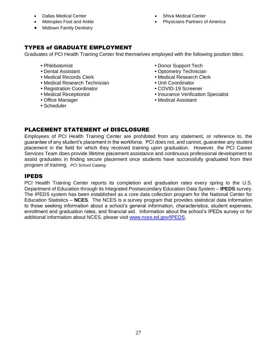- Dallas Medical Center
- Metroplex Foot and Ankle
- Midtown Family Dentistry
- Shiva Medical Center
- Physicians Partners of America

# <span id="page-30-0"></span>TYPES of GRADUATE EMPLOYMENT

Graduates of PCI Health Training Center find themselves employed with the following position titles:

- 
- 
- 
- Medical Research Technician Unit Coordinator
- **•** Registration Coordinator COVID-19 Screener
- 
- 
- Scheduler
- **Phlebotomist Donor Support Tech**
- Dental Assistant *Dental Assistant Optometry Technician*
- Medical Records Clerk Medical Research Clerk
	-
	-
- Medical Receptionist Insurance Verification Specialist
- Office Manager  **<b>•** Medical Assistant

# <span id="page-30-1"></span>PLACEMENT STATEMENT of DISCLOSURE

Employees of PCI Health Training Center are prohibited from any statement, or reference to, the guarantee of any student's placement in the workforce. PCI does not, and cannot, guarantee any student placement in the field for which they received training upon graduation. However, the PCI Career Services Team does provide lifetime placement assistance and continuous professional development to assist graduates in finding secure placement once students have successfully graduated from their program of training. *PCI School Catalog*

# <span id="page-30-2"></span>IPEDS

PCI Health Training Center reports its completion and graduation rates every spring to the U.S. Department of Education through its Integrated Postsecondary Education Data System – **IPEDS** survey. The IPEDS system has been established as a core data collection program for the National Center for Education Statistics – **NCES**. The NCES is a survey program that provides statistical data information to those seeking information about a school's general information, characteristics, student expenses, enrollment and graduation rates, and financial aid. Information about the school's IPEDs survey or for additional information about NCES, please visit [www.nces.ed.gov/IPEDS.](http://www.nces.ed.gov/IPEDS)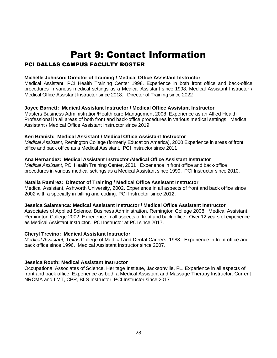# Part 9: Contact Information

# <span id="page-31-1"></span><span id="page-31-0"></span>PCI DALLAS CAMPUS FACULTY ROSTER

#### **Michelle Johnson: Director of Training / Medical Office Assistant Instructor**

Medical Assistant, PCI Health Training Center 1998. Experience in both front office and back-office procedures in various medical settings as a Medical Assistant since 1998. Medical Assistant Instructor / Medical Office Assistant Instructor since 2018. Director of Training since 2022

#### **Joyce Barnett: Medical Assistant Instructor / Medical Office Assistant Instructor**

Masters Business Administration/Health care Management 2008. Experience as an Allied Health Professional in all areas of both front and back-office procedures in various medical settings. Medical Assistant / Medical Office Assistant Instructor since 2019

#### **Keri Branish: Medical Assistant / Medical Office Assistant Instructor**

*Medical Assistant*, Remington College (formerly Education America), 2000 Experience in areas of front office and back office as a Medical Assistant. PCI Instructor since 2011

#### **Ana Hernandez: Medical Assistant Instructor /Medical Office Assistant Instructor**

*Medical Assistant*, PCI Health Training Center, 2001 Experience in front office and back-office procedures in various medical settings as a Medical Assistant since 1999. PCI Instructor since 2010.

#### **Natalia Ramirez: Director of Training / Medical Office Assistant Instructor**

Medical Assistant, Ashworth University, 2002. Experience in all aspects of front and back office since 2002 with a specialty in billing and coding. PCI Instructor since 2012.

#### **Jessica Salamanca: Medical Assistant Instructor / Medical Office Assistant Instructor**

Associates of Applied Science, Business Administration, Remington College 2008. Medical Assistant, Remington College 2002. Experience in all aspects of front and back office. Over 12 years of experience as Medical Assistant Instructor. PCI Instructor at PCI since 2017.

#### **Cheryl Trevino: Medical Assistant Instructor**

*Medical Assistant,* Texas College of Medical and Dental Careers, 1988. Experience in front office and back office since 1996. Medical Assistant Instructor since 2007.

#### **Jessica Routh: Medical Assistant Instructor**

Occupational Associates of Science, Heritage Institute, Jacksonville, FL. Experience in all aspects of front and back office. Experience as both a Medical Assistant and Massage Therapy Instructor. Current NRCMA and LMT, CPR, BLS Instructor. PCI Instructor since 2017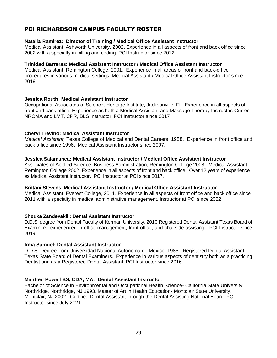# <span id="page-32-0"></span>PCI RICHARDSON CAMPUS FACULTY ROSTER

#### **Natalia Ramirez: Director of Training / Medical Office Assistant Instructor**

Medical Assistant, Ashworth University, 2002. Experience in all aspects of front and back office since 2002 with a specialty in billing and coding. PCI Instructor since 2012.

#### **Trinidad Barreras: Medical Assistant Instructor / Medical Office Assistant Instructor**

Medical Assistant, Remington College, 2001. Experience in all areas of front and back-office procedures in various medical settings. Medical Assistant / Medical Office Assistant Instructor since 2019

#### **Jessica Routh: Medical Assistant Instructor**

Occupational Associates of Science, Heritage Institute, Jacksonville, FL. Experience in all aspects of front and back office. Experience as both a Medical Assistant and Massage Therapy Instructor. Current NRCMA and LMT, CPR, BLS Instructor. PCI Instructor since 2017

#### **Cheryl Trevino: Medical Assistant Instructor**

*Medical Assistant,* Texas College of Medical and Dental Careers, 1988. Experience in front office and back office since 1996. Medical Assistant Instructor since 2007.

#### **Jessica Salamanca: Medical Assistant Instructor / Medical Office Assistant Instructor**

Associates of Applied Science, Business Administration, Remington College 2008. Medical Assistant, Remington College 2002. Experience in all aspects of front and back office. Over 12 years of experience as Medical Assistant Instructor. PCI Instructor at PCI since 2017.

#### **Brittani Stevens**: **Medical Assistant Instructor / Medical Office Assistant Instructor**

Medical Assistant, Everest College, 2011. Experience in all aspects of front office and back office since 2011 with a specialty in medical administrative management. Instructor at PCI since 2022

#### **Shouka Zandevakili: Dental Assistant Instructor**

D.D.S. degree from Dental Faculty of Kerman University, 2010 Registered Dental Assistant Texas Board of Examiners, experienced in office management, front office, and chairside assisting. PCI Instructor since 2019

#### **Irma Samuel: Dental Assistant Instructor**

D.D.S. Degree from Universidad Nacional Autonoma de Mexico, 1985. Registered Dental Assistant, Texas State Board of Dental Examiners. Experience in various aspects of dentistry both as a practicing Dentist and as a Registered Dental Assistant. PCI Instructor since 2016.

#### **Manfred Powell BS, CDA, MA: Dental Assistant Instructor,**

Bachelor of Science in Environmental and Occupational Health Science- California State University Northridge, Northridge, NJ 1993. Master of Art in Health Education- Montclair State University, Montclair, NJ 2002. Certified Dental Assistant through the Dental Assisting National Board. PCI Instructor since July 2021